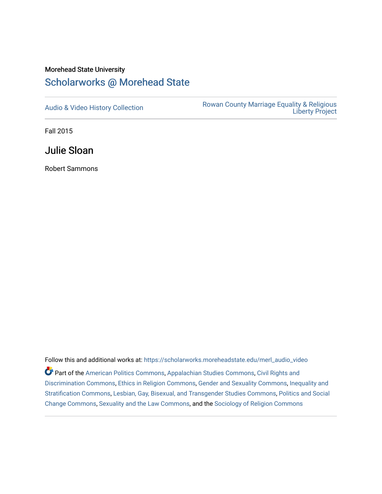## Morehead State University

## [Scholarworks @ Morehead State](https://scholarworks.moreheadstate.edu/)

[Audio & Video History Collection](https://scholarworks.moreheadstate.edu/merl_audio_video) **Rowan County Marriage Equality & Religious** [Liberty Project](https://scholarworks.moreheadstate.edu/merl) 

Fall 2015

Julie Sloan

Robert Sammons

Follow this and additional works at: [https://scholarworks.moreheadstate.edu/merl\\_audio\\_video](https://scholarworks.moreheadstate.edu/merl_audio_video?utm_source=scholarworks.moreheadstate.edu%2Fmerl_audio_video%2F90&utm_medium=PDF&utm_campaign=PDFCoverPages)  Part of the [American Politics Commons,](http://network.bepress.com/hgg/discipline/387?utm_source=scholarworks.moreheadstate.edu%2Fmerl_audio_video%2F90&utm_medium=PDF&utm_campaign=PDFCoverPages) [Appalachian Studies Commons,](http://network.bepress.com/hgg/discipline/1253?utm_source=scholarworks.moreheadstate.edu%2Fmerl_audio_video%2F90&utm_medium=PDF&utm_campaign=PDFCoverPages) [Civil Rights and](http://network.bepress.com/hgg/discipline/585?utm_source=scholarworks.moreheadstate.edu%2Fmerl_audio_video%2F90&utm_medium=PDF&utm_campaign=PDFCoverPages) [Discrimination Commons,](http://network.bepress.com/hgg/discipline/585?utm_source=scholarworks.moreheadstate.edu%2Fmerl_audio_video%2F90&utm_medium=PDF&utm_campaign=PDFCoverPages) [Ethics in Religion Commons,](http://network.bepress.com/hgg/discipline/541?utm_source=scholarworks.moreheadstate.edu%2Fmerl_audio_video%2F90&utm_medium=PDF&utm_campaign=PDFCoverPages) [Gender and Sexuality Commons](http://network.bepress.com/hgg/discipline/420?utm_source=scholarworks.moreheadstate.edu%2Fmerl_audio_video%2F90&utm_medium=PDF&utm_campaign=PDFCoverPages), [Inequality and](http://network.bepress.com/hgg/discipline/421?utm_source=scholarworks.moreheadstate.edu%2Fmerl_audio_video%2F90&utm_medium=PDF&utm_campaign=PDFCoverPages)  [Stratification Commons](http://network.bepress.com/hgg/discipline/421?utm_source=scholarworks.moreheadstate.edu%2Fmerl_audio_video%2F90&utm_medium=PDF&utm_campaign=PDFCoverPages), [Lesbian, Gay, Bisexual, and Transgender Studies Commons,](http://network.bepress.com/hgg/discipline/560?utm_source=scholarworks.moreheadstate.edu%2Fmerl_audio_video%2F90&utm_medium=PDF&utm_campaign=PDFCoverPages) [Politics and Social](http://network.bepress.com/hgg/discipline/425?utm_source=scholarworks.moreheadstate.edu%2Fmerl_audio_video%2F90&utm_medium=PDF&utm_campaign=PDFCoverPages)  [Change Commons](http://network.bepress.com/hgg/discipline/425?utm_source=scholarworks.moreheadstate.edu%2Fmerl_audio_video%2F90&utm_medium=PDF&utm_campaign=PDFCoverPages), [Sexuality and the Law Commons,](http://network.bepress.com/hgg/discipline/877?utm_source=scholarworks.moreheadstate.edu%2Fmerl_audio_video%2F90&utm_medium=PDF&utm_campaign=PDFCoverPages) and the [Sociology of Religion Commons](http://network.bepress.com/hgg/discipline/1365?utm_source=scholarworks.moreheadstate.edu%2Fmerl_audio_video%2F90&utm_medium=PDF&utm_campaign=PDFCoverPages)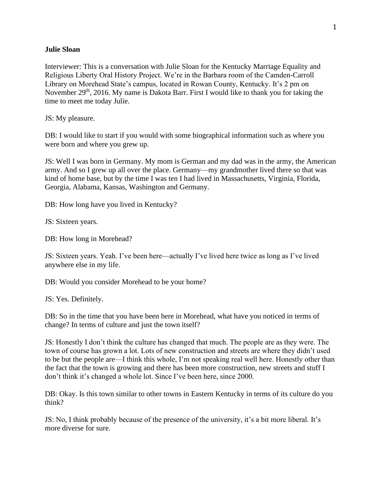## **Julie Sloan**

Interviewer: This is a conversation with Julie Sloan for the Kentucky Marriage Equality and Religious Liberty Oral History Project. We're in the Barbara room of the Camden-Carroll Library on Morehead State's campus, located in Rowan County, Kentucky. It's 2 pm on November 29<sup>th</sup>, 2016. My name is Dakota Barr. First I would like to thank you for taking the time to meet me today Julie.

JS: My pleasure.

DB: I would like to start if you would with some biographical information such as where you were born and where you grew up.

JS: Well I was born in Germany. My mom is German and my dad was in the army, the American army. And so I grew up all over the place. Germany—my grandmother lived there so that was kind of home base, but by the time I was ten I had lived in Massachusetts, Virginia, Florida, Georgia, Alabama, Kansas, Washington and Germany.

DB: How long have you lived in Kentucky?

JS: Sixteen years.

DB: How long in Morehead?

JS: Sixteen years. Yeah. I've been here—actually I've lived here twice as long as I've lived anywhere else in my life.

DB: Would you consider Morehead to be your home?

JS: Yes. Definitely.

DB: So in the time that you have been here in Morehead, what have you noticed in terms of change? In terms of culture and just the town itself?

JS: Honestly I don't think the culture has changed that much. The people are as they were. The town of course has grown a lot. Lots of new construction and streets are where they didn't used to be but the people are—I think this whole, I'm not speaking real well here. Honestly other than the fact that the town is growing and there has been more construction, new streets and stuff I don't think it's changed a whole lot. Since I've been here, since 2000.

DB: Okay. Is this town similar to other towns in Eastern Kentucky in terms of its culture do you think?

JS: No, I think probably because of the presence of the university, it's a bit more liberal. It's more diverse for sure.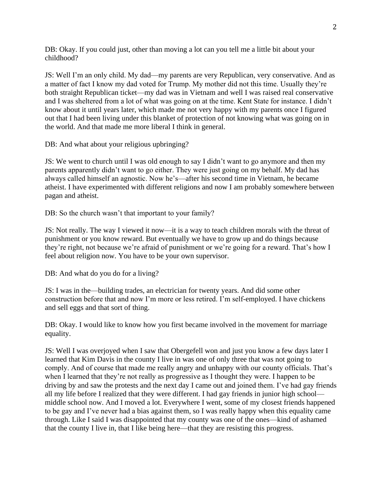DB: Okay. If you could just, other than moving a lot can you tell me a little bit about your childhood?

JS: Well I'm an only child. My dad—my parents are very Republican, very conservative. And as a matter of fact I know my dad voted for Trump. My mother did not this time. Usually they're both straight Republican ticket—my dad was in Vietnam and well I was raised real conservative and I was sheltered from a lot of what was going on at the time. Kent State for instance. I didn't know about it until years later, which made me not very happy with my parents once I figured out that I had been living under this blanket of protection of not knowing what was going on in the world. And that made me more liberal I think in general.

DB: And what about your religious upbringing?

JS: We went to church until I was old enough to say I didn't want to go anymore and then my parents apparently didn't want to go either. They were just going on my behalf. My dad has always called himself an agnostic. Now he's—after his second time in Vietnam, he became atheist. I have experimented with different religions and now I am probably somewhere between pagan and atheist.

DB: So the church wasn't that important to your family?

JS: Not really. The way I viewed it now—it is a way to teach children morals with the threat of punishment or you know reward. But eventually we have to grow up and do things because they're right, not because we're afraid of punishment or we're going for a reward. That's how I feel about religion now. You have to be your own supervisor.

DB: And what do you do for a living?

JS: I was in the—building trades, an electrician for twenty years. And did some other construction before that and now I'm more or less retired. I'm self-employed. I have chickens and sell eggs and that sort of thing.

DB: Okay. I would like to know how you first became involved in the movement for marriage equality.

JS: Well I was overjoyed when I saw that Obergefell won and just you know a few days later I learned that Kim Davis in the county I live in was one of only three that was not going to comply. And of course that made me really angry and unhappy with our county officials. That's when I learned that they're not really as progressive as I thought they were. I happen to be driving by and saw the protests and the next day I came out and joined them. I've had gay friends all my life before I realized that they were different. I had gay friends in junior high school middle school now. And I moved a lot. Everywhere I went, some of my closest friends happened to be gay and I've never had a bias against them, so I was really happy when this equality came through. Like I said I was disappointed that my county was one of the ones—kind of ashamed that the county I live in, that I like being here—that they are resisting this progress.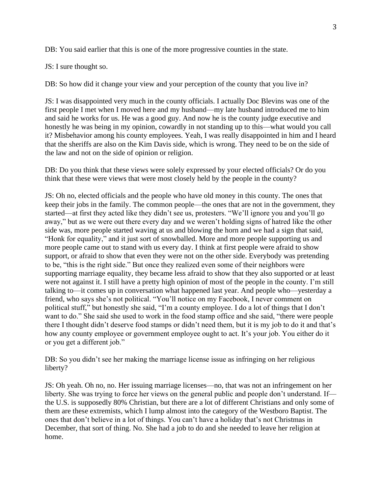DB: You said earlier that this is one of the more progressive counties in the state.

JS: I sure thought so.

DB: So how did it change your view and your perception of the county that you live in?

JS: I was disappointed very much in the county officials. I actually Doc Blevins was one of the first people I met when I moved here and my husband—my late husband introduced me to him and said he works for us. He was a good guy. And now he is the county judge executive and honestly he was being in my opinion, cowardly in not standing up to this—what would you call it? Misbehavior among his county employees. Yeah, I was really disappointed in him and I heard that the sheriffs are also on the Kim Davis side, which is wrong. They need to be on the side of the law and not on the side of opinion or religion.

DB: Do you think that these views were solely expressed by your elected officials? Or do you think that these were views that were most closely held by the people in the county?

JS: Oh no, elected officials and the people who have old money in this county. The ones that keep their jobs in the family. The common people—the ones that are not in the government, they started—at first they acted like they didn't see us, protesters. "We'll ignore you and you'll go away," but as we were out there every day and we weren't holding signs of hatred like the other side was, more people started waving at us and blowing the horn and we had a sign that said, "Honk for equality," and it just sort of snowballed. More and more people supporting us and more people came out to stand with us every day. I think at first people were afraid to show support, or afraid to show that even they were not on the other side. Everybody was pretending to be, "this is the right side." But once they realized even some of their neighbors were supporting marriage equality, they became less afraid to show that they also supported or at least were not against it. I still have a pretty high opinion of most of the people in the county. I'm still talking to—it comes up in conversation what happened last year. And people who—yesterday a friend, who says she's not political. "You'll notice on my Facebook, I never comment on political stuff," but honestly she said, "I'm a county employee. I do a lot of things that I don't want to do." She said she used to work in the food stamp office and she said, "there were people there I thought didn't deserve food stamps or didn't need them, but it is my job to do it and that's how any county employee or government employee ought to act. It's your job. You either do it or you get a different job."

DB: So you didn't see her making the marriage license issue as infringing on her religious liberty?

JS: Oh yeah. Oh no, no. Her issuing marriage licenses—no, that was not an infringement on her liberty. She was trying to force her views on the general public and people don't understand. If the U.S. is supposedly 80% Christian, but there are a lot of different Christians and only some of them are these extremists, which I lump almost into the category of the Westboro Baptist. The ones that don't believe in a lot of things. You can't have a holiday that's not Christmas in December, that sort of thing. No. She had a job to do and she needed to leave her religion at home.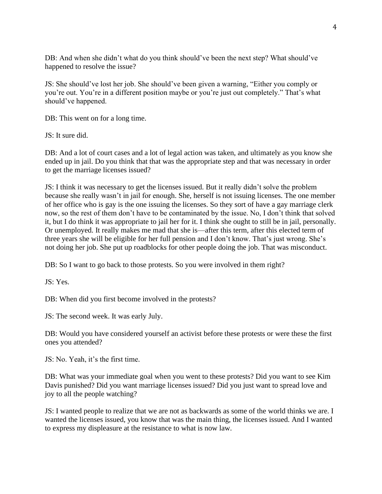DB: And when she didn't what do you think should've been the next step? What should've happened to resolve the issue?

JS: She should've lost her job. She should've been given a warning, "Either you comply or you're out. You're in a different position maybe or you're just out completely." That's what should've happened.

DB: This went on for a long time.

JS: It sure did.

DB: And a lot of court cases and a lot of legal action was taken, and ultimately as you know she ended up in jail. Do you think that that was the appropriate step and that was necessary in order to get the marriage licenses issued?

JS: I think it was necessary to get the licenses issued. But it really didn't solve the problem because she really wasn't in jail for enough. She, herself is not issuing licenses. The one member of her office who is gay is the one issuing the licenses. So they sort of have a gay marriage clerk now, so the rest of them don't have to be contaminated by the issue. No, I don't think that solved it, but I do think it was appropriate to jail her for it. I think she ought to still be in jail, personally. Or unemployed. It really makes me mad that she is—after this term, after this elected term of three years she will be eligible for her full pension and I don't know. That's just wrong. She's not doing her job. She put up roadblocks for other people doing the job. That was misconduct.

DB: So I want to go back to those protests. So you were involved in them right?

JS: Yes.

DB: When did you first become involved in the protests?

JS: The second week. It was early July.

DB: Would you have considered yourself an activist before these protests or were these the first ones you attended?

JS: No. Yeah, it's the first time.

DB: What was your immediate goal when you went to these protests? Did you want to see Kim Davis punished? Did you want marriage licenses issued? Did you just want to spread love and joy to all the people watching?

JS: I wanted people to realize that we are not as backwards as some of the world thinks we are. I wanted the licenses issued, you know that was the main thing, the licenses issued. And I wanted to express my displeasure at the resistance to what is now law.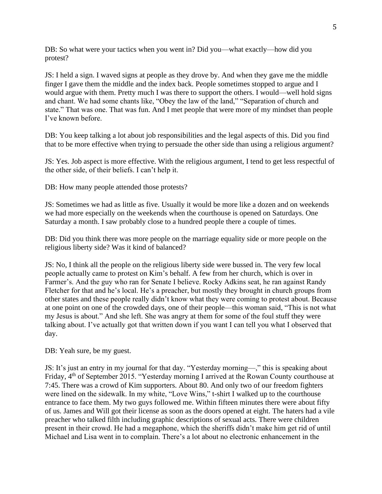DB: So what were your tactics when you went in? Did you—what exactly—how did you protest?

JS: I held a sign. I waved signs at people as they drove by. And when they gave me the middle finger I gave them the middle and the index back. People sometimes stopped to argue and I would argue with them. Pretty much I was there to support the others. I would—well hold signs and chant. We had some chants like, "Obey the law of the land," "Separation of church and state." That was one. That was fun. And I met people that were more of my mindset than people I've known before.

DB: You keep talking a lot about job responsibilities and the legal aspects of this. Did you find that to be more effective when trying to persuade the other side than using a religious argument?

JS: Yes. Job aspect is more effective. With the religious argument, I tend to get less respectful of the other side, of their beliefs. I can't help it.

DB: How many people attended those protests?

JS: Sometimes we had as little as five. Usually it would be more like a dozen and on weekends we had more especially on the weekends when the courthouse is opened on Saturdays. One Saturday a month. I saw probably close to a hundred people there a couple of times.

DB: Did you think there was more people on the marriage equality side or more people on the religious liberty side? Was it kind of balanced?

JS: No, I think all the people on the religious liberty side were bussed in. The very few local people actually came to protest on Kim's behalf. A few from her church, which is over in Farmer's. And the guy who ran for Senate I believe. Rocky Adkins seat, he ran against Randy Fletcher for that and he's local. He's a preacher, but mostly they brought in church groups from other states and these people really didn't know what they were coming to protest about. Because at one point on one of the crowded days, one of their people—this woman said, "This is not what my Jesus is about." And she left. She was angry at them for some of the foul stuff they were talking about. I've actually got that written down if you want I can tell you what I observed that day.

DB: Yeah sure, be my guest.

JS: It's just an entry in my journal for that day. "Yesterday morning—," this is speaking about Friday, 4<sup>th</sup> of September 2015. "Yesterday morning I arrived at the Rowan County courthouse at 7:45. There was a crowd of Kim supporters. About 80. And only two of our freedom fighters were lined on the sidewalk. In my white, "Love Wins," t-shirt I walked up to the courthouse entrance to face them. My two guys followed me. Within fifteen minutes there were about fifty of us. James and Will got their license as soon as the doors opened at eight. The haters had a vile preacher who talked filth including graphic descriptions of sexual acts. There were children present in their crowd. He had a megaphone, which the sheriffs didn't make him get rid of until Michael and Lisa went in to complain. There's a lot about no electronic enhancement in the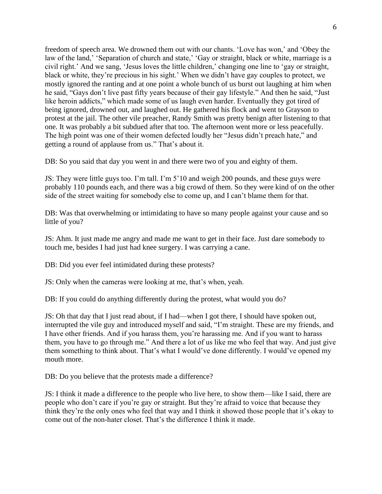freedom of speech area. We drowned them out with our chants. 'Love has won,' and 'Obey the law of the land,' 'Separation of church and state,' 'Gay or straight, black or white, marriage is a civil right.' And we sang, 'Jesus loves the little children,' changing one line to 'gay or straight, black or white, they're precious in his sight.' When we didn't have gay couples to protect, we mostly ignored the ranting and at one point a whole bunch of us burst out laughing at him when he said, "Gays don't live past fifty years because of their gay lifestyle." And then he said, "Just like heroin addicts," which made some of us laugh even harder. Eventually they got tired of being ignored, drowned out, and laughed out. He gathered his flock and went to Grayson to protest at the jail. The other vile preacher, Randy Smith was pretty benign after listening to that one. It was probably a bit subdued after that too. The afternoon went more or less peacefully. The high point was one of their women defected loudly her "Jesus didn't preach hate," and getting a round of applause from us." That's about it.

DB: So you said that day you went in and there were two of you and eighty of them.

JS: They were little guys too. I'm tall. I'm 5'10 and weigh 200 pounds, and these guys were probably 110 pounds each, and there was a big crowd of them. So they were kind of on the other side of the street waiting for somebody else to come up, and I can't blame them for that.

DB: Was that overwhelming or intimidating to have so many people against your cause and so little of you?

JS: Ahm. It just made me angry and made me want to get in their face. Just dare somebody to touch me, besides I had just had knee surgery. I was carrying a cane.

DB: Did you ever feel intimidated during these protests?

JS: Only when the cameras were looking at me, that's when, yeah.

DB: If you could do anything differently during the protest, what would you do?

JS: Oh that day that I just read about, if I had—when I got there, I should have spoken out, interrupted the vile guy and introduced myself and said, "I'm straight. These are my friends, and I have other friends. And if you harass them, you're harassing me. And if you want to harass them, you have to go through me." And there a lot of us like me who feel that way. And just give them something to think about. That's what I would've done differently. I would've opened my mouth more.

DB: Do you believe that the protests made a difference?

JS: I think it made a difference to the people who live here, to show them—like I said, there are people who don't care if you're gay or straight. But they're afraid to voice that because they think they're the only ones who feel that way and I think it showed those people that it's okay to come out of the non-hater closet. That's the difference I think it made.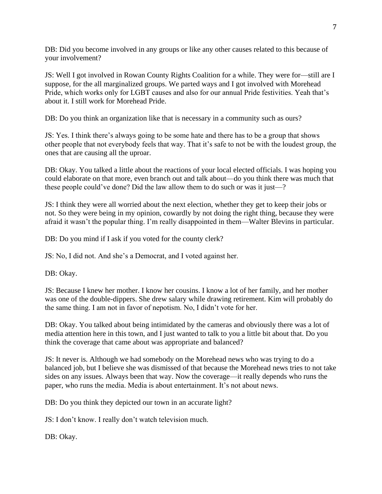DB: Did you become involved in any groups or like any other causes related to this because of your involvement?

JS: Well I got involved in Rowan County Rights Coalition for a while. They were for—still are I suppose, for the all marginalized groups. We parted ways and I got involved with Morehead Pride, which works only for LGBT causes and also for our annual Pride festivities. Yeah that's about it. I still work for Morehead Pride.

DB: Do you think an organization like that is necessary in a community such as ours?

JS: Yes. I think there's always going to be some hate and there has to be a group that shows other people that not everybody feels that way. That it's safe to not be with the loudest group, the ones that are causing all the uproar.

DB: Okay. You talked a little about the reactions of your local elected officials. I was hoping you could elaborate on that more, even branch out and talk about—do you think there was much that these people could've done? Did the law allow them to do such or was it just—?

JS: I think they were all worried about the next election, whether they get to keep their jobs or not. So they were being in my opinion, cowardly by not doing the right thing, because they were afraid it wasn't the popular thing. I'm really disappointed in them—Walter Blevins in particular.

DB: Do you mind if I ask if you voted for the county clerk?

JS: No, I did not. And she's a Democrat, and I voted against her.

DB: Okay.

JS: Because I knew her mother. I know her cousins. I know a lot of her family, and her mother was one of the double-dippers. She drew salary while drawing retirement. Kim will probably do the same thing. I am not in favor of nepotism. No, I didn't vote for her.

DB: Okay. You talked about being intimidated by the cameras and obviously there was a lot of media attention here in this town, and I just wanted to talk to you a little bit about that. Do you think the coverage that came about was appropriate and balanced?

JS: It never is. Although we had somebody on the Morehead news who was trying to do a balanced job, but I believe she was dismissed of that because the Morehead news tries to not take sides on any issues. Always been that way. Now the coverage—it really depends who runs the paper, who runs the media. Media is about entertainment. It's not about news.

DB: Do you think they depicted our town in an accurate light?

JS: I don't know. I really don't watch television much.

DB: Okay.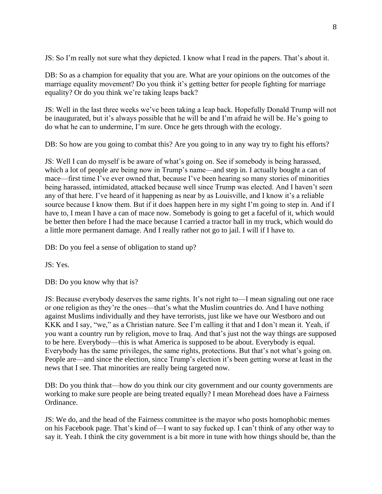JS: So I'm really not sure what they depicted. I know what I read in the papers. That's about it.

DB: So as a champion for equality that you are. What are your opinions on the outcomes of the marriage equality movement? Do you think it's getting better for people fighting for marriage equality? Or do you think we're taking leaps back?

JS: Well in the last three weeks we've been taking a leap back. Hopefully Donald Trump will not be inaugurated, but it's always possible that he will be and I'm afraid he will be. He's going to do what he can to undermine, I'm sure. Once he gets through with the ecology.

DB: So how are you going to combat this? Are you going to in any way try to fight his efforts?

JS: Well I can do myself is be aware of what's going on. See if somebody is being harassed, which a lot of people are being now in Trump's name—and step in. I actually bought a can of mace—first time I've ever owned that, because I've been hearing so many stories of minorities being harassed, intimidated, attacked because well since Trump was elected. And I haven't seen any of that here. I've heard of it happening as near by as Louisville, and I know it's a reliable source because I know them. But if it does happen here in my sight I'm going to step in. And if I have to, I mean I have a can of mace now. Somebody is going to get a faceful of it, which would be better then before I had the mace because I carried a tractor ball in my truck, which would do a little more permanent damage. And I really rather not go to jail. I will if I have to.

DB: Do you feel a sense of obligation to stand up?

JS: Yes.

DB: Do you know why that is?

JS: Because everybody deserves the same rights. It's not right to—I mean signaling out one race or one religion as they're the ones—that's what the Muslim countries do. And I have nothing against Muslims individually and they have terrorists, just like we have our Westboro and out KKK and I say, "we," as a Christian nature. See I'm calling it that and I don't mean it. Yeah, if you want a country run by religion, move to Iraq. And that's just not the way things are supposed to be here. Everybody—this is what America is supposed to be about. Everybody is equal. Everybody has the same privileges, the same rights, protections. But that's not what's going on. People are—and since the election, since Trump's election it's been getting worse at least in the news that I see. That minorities are really being targeted now.

DB: Do you think that—how do you think our city government and our county governments are working to make sure people are being treated equally? I mean Morehead does have a Fairness Ordinance.

JS: We do, and the head of the Fairness committee is the mayor who posts homophobic memes on his Facebook page. That's kind of—I want to say fucked up. I can't think of any other way to say it. Yeah. I think the city government is a bit more in tune with how things should be, than the